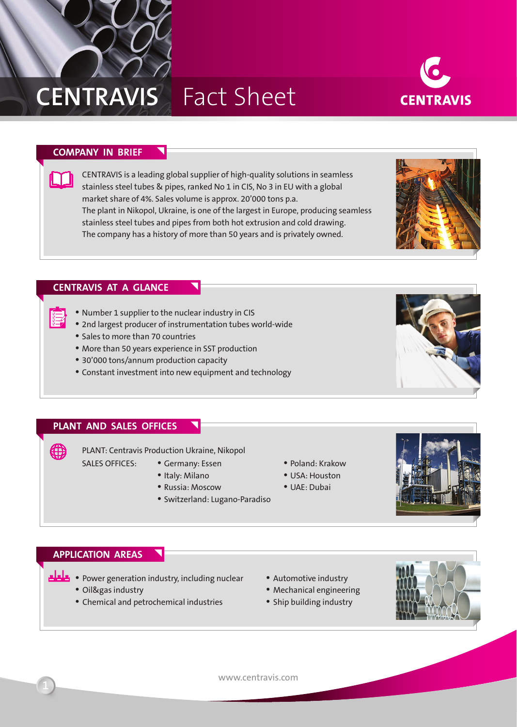

# **Centravis** Fact Sheet



## **Company in brief**

CENTRAVIS is a leading global supplier of high-quality solutions in seamless stainless steel tubes & pipes, ranked No 1 in CIS, No 3 in EU with a global market share of 4%. Sales volume is approx. 20'000 tons p.a. The plant in Nikopol, Ukraine, is one of the largest in Europe, producing seamless stainless steel tubes and pipes from both hot extrusion and cold drawing. The company has a history of more than 50 years and is privately owned.

### **Centravis at a glance**

- Number 1 supplier to the nuclear industry in CIS
- 2nd largest producer of instrumentation tubes world-wide
- Sales to more than 70 countries
- More than 50 years experience in SST production
- 30'000 tons/annum production capacity
- Constant investment into new equipment and technology

#### **Plant and Sales Offices**

∰

PLANT: Centravis Production Ukraine, Nikopol

Sales offices:

- Germany: Essen • Italy: Milano
- 
- Russia: Moscow
- Switzerland: Lugano-Paradiso
- Poland: Krakow
- USA: Houston
- UAE: Dubai



#### **Application areas**

- Power generation industry, including nuclear
	- Oil&gas industry
	- Сhemical and petrochemical industries
- Automotive industry
- Mechanical engineering
- Ship building industry